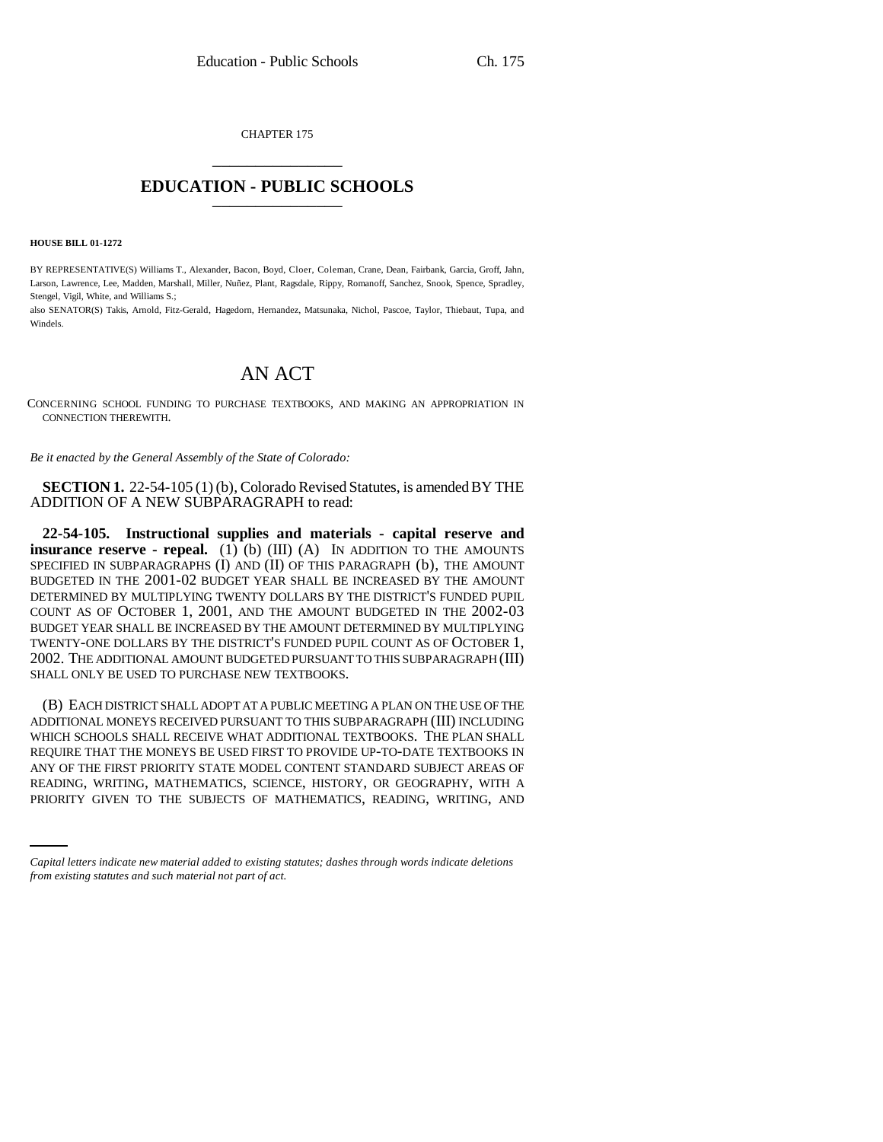CHAPTER 175 \_\_\_\_\_\_\_\_\_\_\_\_\_\_\_

## **EDUCATION - PUBLIC SCHOOLS** \_\_\_\_\_\_\_\_\_\_\_\_\_\_\_

**HOUSE BILL 01-1272**

BY REPRESENTATIVE(S) Williams T., Alexander, Bacon, Boyd, Cloer, Coleman, Crane, Dean, Fairbank, Garcia, Groff, Jahn, Larson, Lawrence, Lee, Madden, Marshall, Miller, Nuñez, Plant, Ragsdale, Rippy, Romanoff, Sanchez, Snook, Spence, Spradley, Stengel, Vigil, White, and Williams S.;

also SENATOR(S) Takis, Arnold, Fitz-Gerald, Hagedorn, Hernandez, Matsunaka, Nichol, Pascoe, Taylor, Thiebaut, Tupa, and Windels.

## AN ACT

CONCERNING SCHOOL FUNDING TO PURCHASE TEXTBOOKS, AND MAKING AN APPROPRIATION IN CONNECTION THEREWITH.

*Be it enacted by the General Assembly of the State of Colorado:*

**SECTION 1.** 22-54-105 (1) (b), Colorado Revised Statutes, is amended BY THE ADDITION OF A NEW SUBPARAGRAPH to read:

**22-54-105. Instructional supplies and materials - capital reserve and insurance reserve - repeal.** (1) (b) (III) (A) IN ADDITION TO THE AMOUNTS SPECIFIED IN SUBPARAGRAPHS (I) AND (II) OF THIS PARAGRAPH (b), THE AMOUNT BUDGETED IN THE 2001-02 BUDGET YEAR SHALL BE INCREASED BY THE AMOUNT DETERMINED BY MULTIPLYING TWENTY DOLLARS BY THE DISTRICT'S FUNDED PUPIL COUNT AS OF OCTOBER 1, 2001, AND THE AMOUNT BUDGETED IN THE 2002-03 BUDGET YEAR SHALL BE INCREASED BY THE AMOUNT DETERMINED BY MULTIPLYING TWENTY-ONE DOLLARS BY THE DISTRICT'S FUNDED PUPIL COUNT AS OF OCTOBER 1, 2002. THE ADDITIONAL AMOUNT BUDGETED PURSUANT TO THIS SUBPARAGRAPH (III) SHALL ONLY BE USED TO PURCHASE NEW TEXTBOOKS.

ANY OF THE FIRST PRIORITY STATE MODEL CONTENT STANDARD SUBJECT AREAS OF (B) EACH DISTRICT SHALL ADOPT AT A PUBLIC MEETING A PLAN ON THE USE OF THE ADDITIONAL MONEYS RECEIVED PURSUANT TO THIS SUBPARAGRAPH (III) INCLUDING WHICH SCHOOLS SHALL RECEIVE WHAT ADDITIONAL TEXTBOOKS. THE PLAN SHALL REQUIRE THAT THE MONEYS BE USED FIRST TO PROVIDE UP-TO-DATE TEXTBOOKS IN READING, WRITING, MATHEMATICS, SCIENCE, HISTORY, OR GEOGRAPHY, WITH A PRIORITY GIVEN TO THE SUBJECTS OF MATHEMATICS, READING, WRITING, AND

*Capital letters indicate new material added to existing statutes; dashes through words indicate deletions from existing statutes and such material not part of act.*